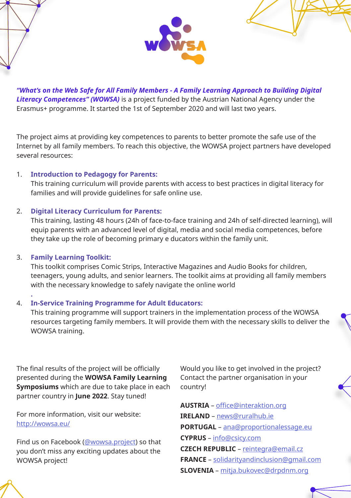

*"What's on the Web Safe for All Family Members - A Family Learning Approach to Building Digital Literacy Competences" (WOWSA)* is a project funded by the Austrian National Agency under the Erasmus+ programme. It started the 1st of September 2020 and will last two years.

The project aims at providing key competences to parents to better promote the safe use of the Internet by all family members. To reach this objective, the WOWSA project partners have developed several resources:

### 1. **Introduction to Pedagogy for Parents:**

This training curriculum will provide parents with access to best practices in digital literacy for families and will provide quidelines for safe online use.

## 2. **Digital Literacy Curriculum for Parents:**

This training, lasting 48 hours (24h of face-to-face training and 24h of self-directed learning), will equip parents with an advanced level of digital, media and social media competences, before they take up the role of becoming primary e ducators within the family unit.

### 3. **Family Learning Toolkit:**

This toolkit comprises Comic Strips, Interactive Magazines and Audio Books for children, teenagers, young adults, and senior learners. The toolkit aims at providing all family members with the necessary knowledge to safely navigate the online world

#### **.** 4. **In-Service Training Programme for Adult Educators:**

This training programme will support trainers in the implementation process of the WOWSA resources targeting family members. It will provide them with the necessary skills to deliver the WOWSA training.

The final results of the project will be officially presented during the **WOWSA Family Learning Symposiums** which are due to take place in each partner country in **June 2022**. Stay tuned!

For more information, visit our website: http://wowsa.eu/

Find us on Facebook (@wowsa.project) so that you don't miss any exciting updates about the WOWSA project!

Would you like to get involved in the project? Contact the partner organisation in your country!

**AUSTRIA** – office@interaktion.org **IRELAND** – news@ruralhub.ie **PORTUGAL** – ana@proportionalessage.eu **CYPRUS** – info@csicy.com **CZECH REPUBLIC** – reintegra@email.cz **FRANCE** – solidarityandinclusion@gmail.com **SLOVENIA** – mitja.bukovec@drpdnm.org